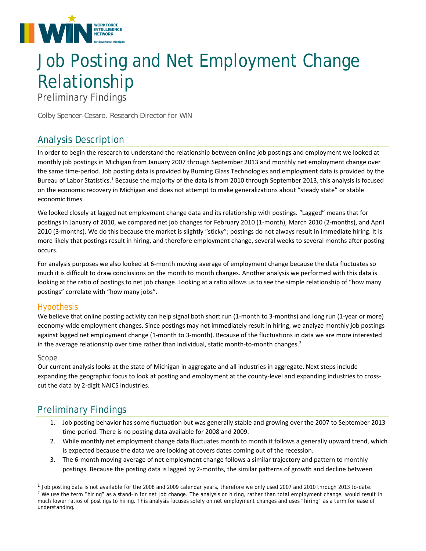

# Job Posting and Net Employment Change Relationship

Preliminary Findings

*Colby Spencer-Cesaro, Research Director for WIN* 

## Analysis Description

In order to begin the research to understand the relationship between online job postings and employment we looked at monthly job postings in Michigan from January 2007 through September 2013 and monthly net employment change over the same time‐period. Job posting data is provided by Burning Glass Technologies and employment data is provided by the Bureau of Labor Statistics.1 Because the majority of the data is from 2010 through September 2013, this analysis is focused on the economic recovery in Michigan and does not attempt to make generalizations about "steady state" or stable economic times.

We looked closely at lagged net employment change data and its relationship with postings. "Lagged" means that for postings in January of 2010, we compared net job changes for February 2010 (1‐month), March 2010 (2‐months), and April 2010 (3-months). We do this because the market is slightly "sticky"; postings do not always result in immediate hiring. It is more likely that postings result in hiring, and therefore employment change, several weeks to several months after posting occurs.

For analysis purposes we also looked at 6‐month moving average of employment change because the data fluctuates so much it is difficult to draw conclusions on the month to month changes. Another analysis we performed with this data is looking at the ratio of postings to net job change. Looking at a ratio allows us to see the simple relationship of "how many postings" correlate with "how many jobs".

### Hypothesis

We believe that online posting activity can help signal both short run (1‐month to 3‐months) and long run (1‐year or more) economy-wide employment changes. Since postings may not immediately result in hiring, we analyze monthly job postings against lagged net employment change (1‐month to 3‐month). Because of the fluctuations in data we are more interested in the average relationship over time rather than individual, static month-to-month changes.<sup>2</sup>

#### Scope

l

Our current analysis looks at the state of Michigan in aggregate and all industries in aggregate. Next steps include expanding the geographic focus to look at posting and employment at the county-level and expanding industries to crosscut the data by 2‐digit NAICS industries.

## Preliminary Findings

- 1. Job posting behavior has some fluctuation but was generally stable and growing over the 2007 to September 2013 time‐period. There is no posting data available for 2008 and 2009.
- 2. While monthly net employment change data fluctuates month to month it follows a generally upward trend, which is expected because the data we are looking at covers dates coming out of the recession.
- 3. The 6‐month moving average of net employment change follows a similar trajectory and pattern to monthly postings. Because the posting data is lagged by 2‐months, the similar patterns of growth and decline between

 $1$  Job posting data is not available for the 2008 and 2009 calendar years, therefore we only used 2007 and 2010 through 2013 to-date.  $<sup>2</sup>$  We use the term "hiring" as a stand-in for net job change. The analysis on hiring, rather than total employment change, would result in</sup> much lower ratios of postings to hiring. This analysis focuses solely on net employment changes and uses "hiring" as a term for ease of understanding.